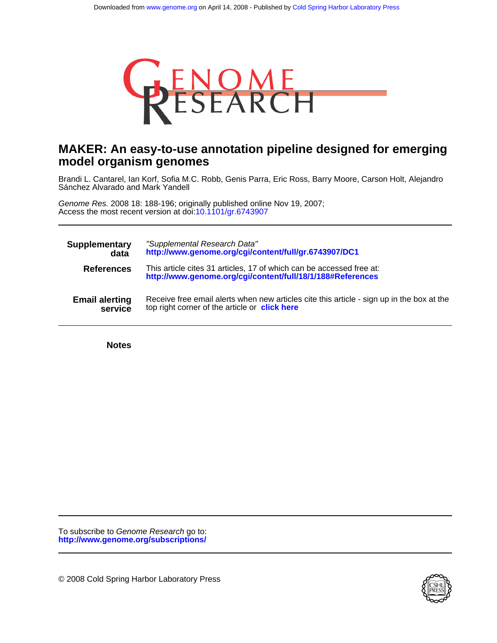

## **model organism genomes MAKER: An easy-to-use annotation pipeline designed for emerging**

Sánchez Alvarado and Mark Yandell Brandi L. Cantarel, Ian Korf, Sofia M.C. Robb, Genis Parra, Eric Ross, Barry Moore, Carson Holt, Alejandro

Access the most recent version at doi[:10.1101/gr.6743907](http://www.genome.org/cgi/doi/10.1101/gr.6743907) Genome Res. 2008 18: 188-196; originally published online Nov 19, 2007;

| <b>Supplementary</b><br>data     | "Supplemental Research Data"<br>http://www.genome.org/cgi/content/full/gr.6743907/DC1                                                      |
|----------------------------------|--------------------------------------------------------------------------------------------------------------------------------------------|
| <b>References</b>                | This article cites 31 articles, 17 of which can be accessed free at:<br>http://www.genome.org/cgi/content/full/18/1/188#References         |
| <b>Email alerting</b><br>service | Receive free email alerts when new articles cite this article - sign up in the box at the<br>top right corner of the article or click here |

**Notes**

**<http://www.genome.org/subscriptions/>** To subscribe to Genome Research go to:



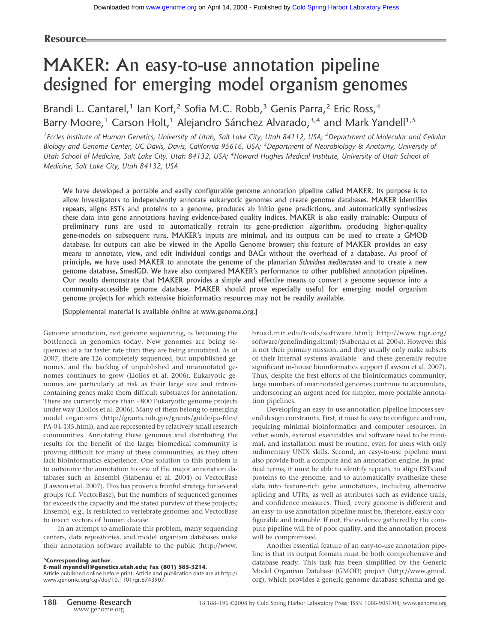## **Resource**

# MAKER: An easy-to-use annotation pipeline designed for emerging model organism genomes

Brandi L. Cantarel,<sup>1</sup> Ian Korf,<sup>2</sup> Sofia M.C. Robb,<sup>3</sup> Genis Parra,<sup>2</sup> Eric Ross,<sup>4</sup> Barry Moore,<sup>1</sup> Carson Holt,<sup>1</sup> Alejandro Sánchez Alvarado,<sup>3,4</sup> and Mark Yandell<sup>1,5</sup>

*1 Eccles Institute of Human Genetics, University of Utah, Salt Lake City, Utah 84112, USA; <sup>2</sup> Department of Molecular and Cellular Biology and Genome Center, UC Davis, Davis, California 95616, USA; <sup>3</sup> Department of Neurobiology & Anatomy, University of Utah School of Medicine, Salt Lake City, Utah 84132, USA; <sup>4</sup> Howard Hughes Medical Institute, University of Utah School of Medicine, Salt Lake City, Utah 84132, USA*

We have developed a portable and easily configurable genome annotation pipeline called MAKER. Its purpose is to allow investigators to independently annotate eukaryotic genomes and create genome databases. MAKER identifies repeats, aligns ESTs and proteins to a genome, produces ab initio gene predictions, and automatically synthesizes these data into gene annotations having evidence-based quality indices. MAKER is also easily trainable: Outputs of preliminary runs are used to automatically retrain its gene-prediction algorithm, producing higher-quality gene-models on subsequent runs. MAKER's inputs are minimal, and its outputs can be used to create a GMOD database. Its outputs can also be viewed in the Apollo Genome browser; this feature of MAKER provides an easy means to annotate, view, and edit individual contigs and BACs without the overhead of a database. As proof of principle, we have used MAKER to annotate the genome of the planarian *Schmidtea mediterranea* and to create a new genome database, SmedGD. We have also compared MAKER's performance to other published annotation pipelines. Our results demonstrate that MAKER provides a simple and effective means to convert a genome sequence into a community-accessible genome database. MAKER should prove especially useful for emerging model organism genome projects for which extensive bioinformatics resources may not be readily available.

[Supplemental material is available online at www.genome.org.]

Genome annotation, not genome sequencing, is becoming the bottleneck in genomics today. New genomes are being sequenced at a far faster rate than they are being annotated. As of 2007, there are 126 completely sequenced, but unpublished genomes, and the backlog of unpublished and unannotated genomes continues to grow (Liolios et al. 2006). Eukaryotic genomes are particularly at risk as their large size and introncontaining genes make them difficult substrates for annotation. There are currently more than ∼800 Eukaryotic genome projects under way (Liolios et al. 2006). Many of them belong to emerging model organisms (http://grants.nih.gov/grants/guide/pa-files/ PA-04-135.html), and are represented by relatively small research communities. Annotating these genomes and distributing the results for the benefit of the larger biomedical community is proving difficult for many of these communities, as they often lack bioinformatics experience. One solution to this problem is to outsource the annotation to one of the major annotation databases such as Ensembl (Stabenau et al. 2004) or VectorBase (Lawson et al. 2007). This has proven a fruitful strategy for several groups (c.f. VectorBase), but the numbers of sequenced genomes far exceeds the capacity and the stated purview of these projects; Ensembl, e.g., is restricted to vertebrate genomes and VectorBase to insect vectors of human disease.

In an attempt to ameliorate this problem, many sequencing centers, data repositories, and model organism databases make their annotation software available to the public (http://www.

**5Corresponding author.**

**E-mail myandell@genetics.utah.edu; fax (801) 585-3214.**

Article published online before print. Article and publication date are at http:// www.genome.org/cgi/doi/10.1101/gr.6743907.

broad.mit.edu/tools/software.html; http://www.tigr.org/ software/genefinding.shtml) (Stabenau et al. 2004). However this is not their primary mission, and they usually only make subsets of their internal systems available—and these generally require significant in-house bioinformatics support (Lawson et al. 2007). Thus, despite the best efforts of the bioinformatics community, large numbers of unannotated genomes continue to accumulate, underscoring an urgent need for simpler, more portable annotation pipelines.

Developing an easy-to-use annotation pipeline imposes several design constraints. First, it must be easy to configure and run, requiring minimal bioinformatics and computer resources. In other words, external executables and software need to be minimal, and installation must be routine, even for users with only rudimentary UNIX skills. Second, an easy-to-use pipeline must also provide both a compute and an annotation engine. In practical terms, it must be able to identify repeats, to align ESTs and proteins to the genome, and to automatically synthesize these data into feature-rich gene annotations, including alternative splicing and UTRs, as well as attributes such as evidence trails, and confidence measures. Third, every genome is different and an easy-to-use annotation pipeline must be, therefore, easily configurable and trainable. If not, the evidence gathered by the compute pipeline will be of poor quality, and the annotation process will be compromised.

Another essential feature of an easy-to-use annotation pipeline is that its output formats must be both comprehensive and database ready. This task has been simplified by the Generic Model Organism Database (GMOD) project (http://www.gmod. org), which provides a generic genome database schema and ge-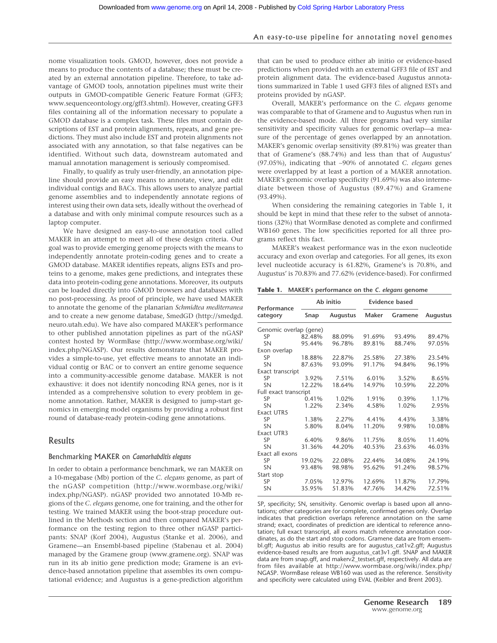nome visualization tools. GMOD, however, does not provide a means to produce the contents of a database; these must be created by an external annotation pipeline. Therefore, to take advantage of GMOD tools, annotation pipelines must write their outputs in GMOD-compatible Generic Feature Format (GFF3; www.sequenceontology.org/gff3.shtml). However, creating GFF3 files containing all of the information necessary to populate a GMOD database is a complex task. These files must contain descriptions of EST and protein alignments, repeats, and gene predictions. They must also include EST and protein alignments not associated with any annotation, so that false negatives can be identified. Without such data, downstream automated and manual annotation management is seriously compromised.

Finally, to qualify as truly user-friendly, an annotation pipeline should provide an easy means to annotate, view, and edit individual contigs and BACs. This allows users to analyze partial genome assemblies and to independently annotate regions of interest using their own data sets, ideally without the overhead of a database and with only minimal compute resources such as a laptop computer.

We have designed an easy-to-use annotation tool called MAKER in an attempt to meet all of these design criteria. Our goal was to provide emerging genome projects with the means to independently annotate protein-coding genes and to create a GMOD database. MAKER identifies repeats, aligns ESTs and proteins to a genome, makes gene predictions, and integrates these data into protein-coding gene annotations. Moreover, its outputs can be loaded directly into GMOD browsers and databases with no post-processing. As proof of principle, we have used MAKER to annotate the genome of the planarian *Schmidtea mediterranea* and to create a new genome database, SmedGD (http://smedgd. neuro.utah.edu). We have also compared MAKER's performance to other published annotation pipelines as part of the nGASP contest hosted by WormBase (http://www.wormbase.org/wiki/ index.php/NGASP). Our results demonstrate that MAKER provides a simple-to-use, yet effective means to annotate an individual contig or BAC or to convert an entire genome sequence into a community-accessible genome database. MAKER is not exhaustive: it does not identify noncoding RNA genes, nor is it intended as a comprehensive solution to every problem in genome annotation. Rather, MAKER is designed to jump-start genomics in emerging model organisms by providing a robust first round of database-ready protein-coding gene annotations.

## Results

#### Benchmarking MAKER on *Caenorhabditis elegans*

In order to obtain a performance benchmark, we ran MAKER on a 10-megabase (Mb) portion of the *C. elegans* genome, as part of the nGASP competition (http://www.wormbase.org/wiki/ index.php/NGASP). nGASP provided two annotated 10-Mb regions of the *C. elegans* genome, one for training, and the other for testing. We trained MAKER using the boot-strap procedure outlined in the Methods section and then compared MAKER's performance on the testing region to three other nGASP participants: SNAP (Korf 2004), Augustus (Stanke et al. 2006), and Gramene—an Ensembl-based pipeline (Stabenau et al. 2004) managed by the Gramene group (www.gramene.org). SNAP was run in its ab initio gene prediction mode; Gramene is an evidence-based annotation pipeline that assembles its own computational evidence; and Augustus is a gene-prediction algorithm that can be used to produce either ab initio or evidence-based predictions when provided with an external GFF3 file of EST and protein alignment data. The evidence-based Augustus annotations summarized in Table 1 used GFF3 files of aligned ESTs and proteins provided by nGASP.

Overall, MAKER's performance on the *C. elegans* genome was comparable to that of Gramene and to Augustus when run in the evidence-based mode. All three programs had very similar sensitivity and specificity values for genomic overlap—a measure of the percentage of genes overlapped by an annotation. MAKER's genomic overlap sensitivity (89.81%) was greater than that of Gramene's (88.74%) and less than that of Augustus' (97.05%), indicating that ∼90% of annotated *C. elegans* genes were overlapped by at least a portion of a MAKER annotation. MAKER's genomic overlap specificity (91.69%) was also intermediate between those of Augustus (89.47%) and Gramene (93.49%).

When considering the remaining categories in Table 1, it should be kept in mind that these refer to the subset of annotations (32%) that WormBase denoted as complete and confirmed WB160 genes. The low specificities reported for all three programs reflect this fact.

MAKER's weakest performance was in the exon nucleotide accuracy and exon overlap and categories. For all genes, its exon level nucleotide accuracy is 61.82%, Gramene's is 70.8%, and Augustus' is 70.83% and 77.62% (evidence-based). For confirmed

| Performance<br>category | Ab initio |                 | <b>Evidence based</b> |         |                 |
|-------------------------|-----------|-----------------|-----------------------|---------|-----------------|
|                         | Snap      | <b>Augustus</b> | Maker                 | Gramene | <b>Augustus</b> |
| Genomic overlap (gene)  |           |                 |                       |         |                 |
| SP                      | 82.48%    | 88.09%          | 91.69%                | 93.49%  | 89.47%          |
| <b>SN</b>               | 95.44%    | 96.78%          | 89.81%                | 88.74%  | 97.05%          |
| Exon overlap            |           |                 |                       |         |                 |
| SP                      | 18.88%    | 22.87%          | 25.58%                | 27.38%  | 23.54%          |
| <b>SN</b>               | 87.63%    | 93.09%          | 91.17%                | 94.84%  | 96.19%          |
| Exact transcript        |           |                 |                       |         |                 |
| SP                      | 3.92%     | 7.51%           | 6.01%                 | 3.52%   | 8.65%           |
| <b>SN</b>               | 12.22%    | 18.64%          | 14.97%                | 10.59%  | 22.20%          |
| Full exact transcript   |           |                 |                       |         |                 |
| SP                      | 0.41%     | 1.02%           | 1.91%                 | 0.39%   | 1.17%           |
| <b>SN</b>               | 1.22%     | 2.34%           | 4.58%                 | 1.02%   | 2.95%           |
| Exact UTR5              |           |                 |                       |         |                 |
| SP                      | 1.38%     | 2.27%           | 4.41%                 | 4.43%   | 3.38%           |
| <b>SN</b>               | 5.80%     | 8.04%           | 11.20%                | 9.98%   | 10.08%          |
| Exact UTR3              |           |                 |                       |         |                 |
| SP                      | 6.40%     | 9.86%           | 11.75%                | 8.05%   | 11.40%          |
| <b>SN</b>               | 31.36%    | 44.20%          | 40.53%                | 23.63%  | 46.03%          |
| Exact all exons         |           |                 |                       |         |                 |
| SP                      | 19.02%    | 22.08%          | 22.44%                | 34.08%  | 24.19%          |
| SN                      | 93.48%    | 98.98%          | 95.62%                | 91.24%  | 98.57%          |
| Start stop              |           |                 |                       |         |                 |
| SP                      | 7.05%     | 12.97%          | 12.69%                | 11.87%  | 17.79%          |
| <b>SN</b>               | 35.95%    | 51.83%          | 47.76%                | 34.42%  | 72.51%          |

SP, specificity; SN, sensitivity. Genomic overlap is based upon all annotations; other categories are for complete, confirmed genes only. Overlap indicates that prediction overlaps reference annotation on the same strand; exact, coordinates of prediction are identical to reference annotation; full exact transcript, all exons match reference annotation coordinates, as do the start and stop codons. Gramene data are from ensembl.gff; Augustus ab initio results are for augustus\_cat1v2.gff; Augustus evidence-based results are from augustus\_cat3v1.gff. SNAP and MAKER data are from snap.gff, and makerv2\_testset.gff, respectively. All data are from files available at http://www.wormbase.org/wiki/index.php/ NGASP. WormBase release WB160 was used as the reference. Sensitivity and specificity were calculated using EVAL (Keibler and Brent 2003).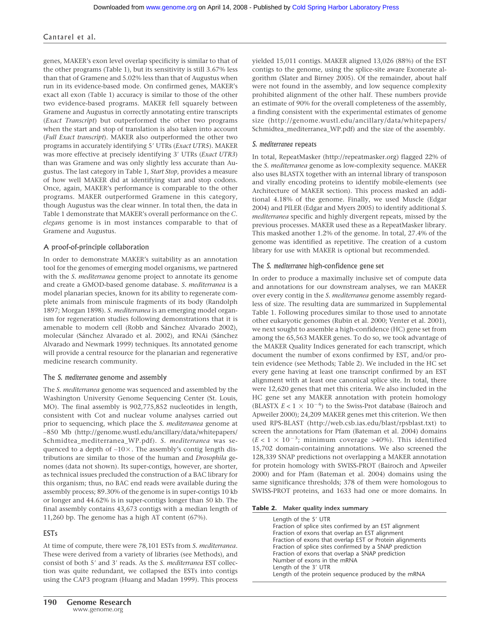genes, MAKER's exon level overlap specificity is similar to that of the other programs (Table 1), but its sensitivity is still 3.67% less than that of Gramene and 5.02% less than that of Augustus when run in its evidence-based mode. On confirmed genes, MAKER's exact all exon (Table 1) accuracy is similar to those of the other two evidence-based programs. MAKER fell squarely between Gramene and Augustus in correctly annotating entire transcripts (*Exact Transcript*) but outperformed the other two programs when the start and stop of translation is also taken into account (*Full Exact transcript*). MAKER also outperformed the other two programs in accurately identifying 5' UTRs (*Exact UTR5*). MAKER was more effective at precisely identifying 3' UTRs (*Exact UTR3*) than was Gramene and was only slightly less accurate than Augustus. The last category in Table 1, *Start Stop*, provides a measure of how well MAKER did at identifying start and stop codons. Once, again, MAKER's performance is comparable to the other programs. MAKER outperformed Gramene in this category, though Augustus was the clear winner. In total then, the data in Table 1 demonstrate that MAKER's overall performance on the *C. elegans* genome is in most instances comparable to that of Gramene and Augustus.

#### A proof-of-principle collaboration

In order to demonstrate MAKER's suitability as an annotation tool for the genomes of emerging model organisms, we partnered with the *S. mediterranea* genome project to annotate its genome and create a GMOD-based genome database. *S. mediterranea* is a model planarian species, known for its ability to regenerate complete animals from miniscule fragments of its body (Randolph 1897; Morgan 1898). *S. mediterranea* is an emerging model organism for regeneration studies following demonstrations that it is amenable to modern cell (Robb and Sánchez Alvarado 2002), molecular (Sánchez Alvarado et al. 2002), and RNAi (Sánchez Alvarado and Newmark 1999) techniques. Its annotated genome will provide a central resource for the planarian and regenerative medicine research community.

#### The *S. mediterranea* genome and assembly

The *S. mediterranea* genome was sequenced and assembled by the Washington University Genome Sequencing Center (St. Louis, MO). The final assembly is 902,775,852 nucleotides in length, consistent with Cot and nuclear volume analyses carried out prior to sequencing, which place the *S. mediterranea* genome at ∼850 Mb (http://genome.wustl.edu/ancillary/data/whitepapers/ Schmidtea\_mediterranea\_WP.pdf). *S. mediterranea* was sequenced to a depth of ~10 $\times$ . The assembly's contig length distributions are similar to those of the human and *Drosophila* genomes (data not shown). Its super-contigs, however, are shorter, as technical issues precluded the construction of a BAC library for this organism; thus, no BAC end reads were available during the assembly process; 89.30% of the genome is in super-contigs 10 kb or longer and 44.62% is in super-contigs longer than 50 kb. The final assembly contains 43,673 contigs with a median length of 11,260 bp. The genome has a high AT content (67%).

## ESTs

At time of compute, there were 78,101 ESTs from *S. mediterranea*. These were derived from a variety of libraries (see Methods), and consist of both 5' and 3' reads. As the *S. mediterranea* EST collection was quite redundant, we collapsed the ESTs into contigs using the CAP3 program (Huang and Madan 1999). This process yielded 15,011 contigs. MAKER aligned 13,026 (88%) of the EST contigs to the genome, using the splice-site aware Exonerate algorithm (Slater and Birney 2005). Of the remainder, about half were not found in the assembly, and low sequence complexity prohibited alignment of the other half. These numbers provide an estimate of 90% for the overall completeness of the assembly, a finding consistent with the experimental estimates of genome size (http://genome.wustl.edu/ancillary/data/whitepapers/ Schmidtea\_mediterranea\_WP.pdf) and the size of the assembly.

#### *S. mediterranea* repeats

In total, RepeatMasker (http://repeatmasker.org) flagged 22% of the *S. mediterranea* genome as low-complexity sequence. MAKER also uses BLASTX together with an internal library of transposon and virally encoding proteins to identify mobile-elements (see Architecture of MAKER section). This process masked an additional 4.18% of the genome. Finally, we used Muscle (Edgar 2004) and PILER (Edgar and Myers 2005) to identify additional *S. mediterranea* specific and highly divergent repeats, missed by the previous processes. MAKER used these as a RepeatMasker library. This masked another 1.2% of the genome. In total, 27.4% of the genome was identified as repetitive. The creation of a custom library for use with MAKER is optional but recommended.

## The *S. mediterranea* high-confidence gene set

In order to produce a maximally inclusive set of compute data and annotations for our downstream analyses, we ran MAKER over every contig in the *S. mediterranea* genome assembly regardless of size. The resulting data are summarized in Supplemental Table 1. Following procedures similar to those used to annotate other eukaryotic genomes (Rubin et al. 2000; Venter et al. 2001), we next sought to assemble a high-confidence (HC) gene set from among the 65,563 MAKER genes. To do so, we took advantage of the MAKER Quality Indices generated for each transcript, which document the number of exons confirmed by EST, and/or protein evidence (see Methods; Table 2). We included in the HC set every gene having at least one transcript confirmed by an EST alignment with at least one canonical splice site. In total, there were 12,620 genes that met this criteria. We also included in the HC gene set any MAKER annotation with protein homology (BLASTX  $E < 1 \times 10^{-6}$ ) to the Swiss-Prot database (Bairoch and Apweiler 2000); 24,209 MAKER genes met this criterion. We then used RPS-BLAST (http://web.csb.ias.edu/blast/rpsblast.txt) to screen the annotations for Pfam (Bateman et al. 2004) domains  $(E < 1 \times 10^{-3})$ ; minimum coverage >40%). This identified 15,702 domain-containing annotations. We also screened the 128,339 SNAP predictions not overlapping a MAKER annotation for protein homology with SWISS-PROT (Bairoch and Apweiler 2000) and for Pfam (Bateman et al. 2004) domains using the same significance thresholds; 378 of them were homologous to SWISS-PROT proteins, and 1633 had one or more domains. In

**Table 2. Maker quality index summary**

| Length of the 5' UTR                                     |
|----------------------------------------------------------|
| Fraction of splice sites confirmed by an EST alignment   |
| Fraction of exons that overlap an EST alignment          |
| Fraction of exons that overlap EST or Protein alignments |
| Fraction of splice sites confirmed by a SNAP prediction  |
| Fraction of exons that overlap a SNAP prediction         |
| Number of exons in the mRNA                              |
| Length of the 3' UTR                                     |
| Length of the protein sequence produced by the mRNA      |
|                                                          |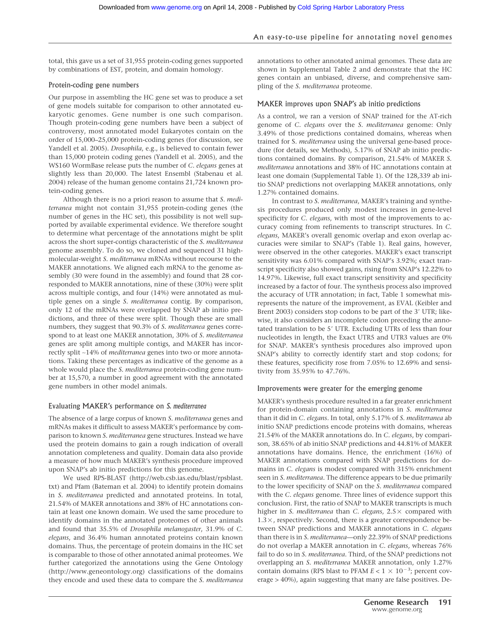total, this gave us a set of 31,955 protein-coding genes supported by combinations of EST, protein, and domain homology.

#### Protein-coding gene numbers

Our purpose in assembling the HC gene set was to produce a set of gene models suitable for comparison to other annotated eukaryotic genomes. Gene number is one such comparison. Though protein-coding gene numbers have been a subject of controversy, most annotated model Eukaryotes contain on the order of 15,000–25,000 protein-coding genes (for discussion, see Yandell et al. 2005). *Drosophila*, e.g., is believed to contain fewer than 15,000 protein coding genes (Yandell et al. 2005), and the WS160 WormBase release puts the number of *C. elegans* genes at slightly less than 20,000. The latest Ensembl (Stabenau et al. 2004) release of the human genome contains 21,724 known protein-coding genes.

Although there is no a priori reason to assume that *S. mediterranea* might not contain 31,955 protein-coding genes (the number of genes in the HC set), this possibility is not well supported by available experimental evidence. We therefore sought to determine what percentage of the annotations might be split across the short super-contigs characteristic of the *S. mediterranea* genome assembly. To do so, we cloned and sequenced 31 highmolecular-weight *S. mediterranea* mRNAs without recourse to the MAKER annotations. We aligned each mRNA to the genome assembly (30 were found in the assembly) and found that 28 corresponded to MAKER annotations, nine of these (30%) were split across multiple contigs, and four (14%) were annotated as multiple genes on a single *S. mediterranea* contig. By comparison, only 12 of the mRNAs were overlapped by SNAP ab initio predictions, and three of these were split. Though these are small numbers, they suggest that 90.3% of *S. mediterranea* genes correspond to at least one MAKER annotation, 30% of *S. mediterranea* genes are split among multiple contigs, and MAKER has incorrectly split ∼14% of *mediterranea* genes into two or more annotations. Taking these percentages as indicative of the genome as a whole would place the *S. mediterranea* protein-coding gene number at 15,570, a number in good agreement with the annotated gene numbers in other model animals.

#### Evaluating MAKER's performance on *S. mediterranea*

The absence of a large corpus of known *S. mediterranea* genes and mRNAs makes it difficult to assess MAKER's performance by comparison to known *S. mediterranea* gene structures. Instead we have used the protein domains to gain a rough indication of overall annotation completeness and quality. Domain data also provide a measure of how much MAKER's synthesis procedure improved upon SNAP's ab initio predictions for this genome.

We used RPS-BLAST (http://web.csb.ias.edu/blast/rpsblast. txt) and Pfam (Bateman et al. 2004) to identify protein domains in *S. mediterranea* predicted and annotated proteins. In total, 21.54% of MAKER annotations and 38% of HC annotations contain at least one known domain. We used the same procedure to identify domains in the annotated proteomes of other animals and found that 35.5% of *Drosophila melanogaster*, 31.9% of *C. elegans*, and 36.4% human annotated proteins contain known domains. Thus, the percentage of protein domains in the HC set is comparable to those of other annotated animal proteomes. We further categorized the annotations using the Gene Ontology (http://www.geneontology.org) classifications of the domains they encode and used these data to compare the *S. mediterranea* annotations to other annotated animal genomes. These data are shown in Supplemental Table 2 and demonstrate that the HC genes contain an unbiased, diverse, and comprehensive sampling of the *S. mediterranea* proteome.

#### MAKER improves upon SNAP's ab initio predictions

As a control, we ran a version of SNAP trained for the AT-rich genome of *C. elegans* over the *S. mediterranea* genome: Only 3.49% of those predictions contained domains, whereas when trained for S. *mediterranea* using the universal gene-based procedure (for details, see Methods), 5.17% of SNAP ab initio predictions contained domains. By comparison, 21.54% of MAKER *S. mediterranea* annotations and 38% of HC annotations contain at least one domain (Supplemental Table 1). Of the 128,339 ab initio SNAP predictions not overlapping MAKER annotations, only 1.27% contained domains.

In contrast to *S. mediterranea*, MAKER's training and synthesis procedures produced only modest increases in gene-level specificity for *C. elegans*, with most of the improvements to accuracy coming from refinements to transcript structures. In *C. elegans*, MAKER's overall genomic overlap and exon overlap accuracies were similar to SNAP's (Table 1). Real gains, however, were observed in the other categories. MAKER's exact transcript sensitivity was 6.01% compared with SNAP's 3.92%; exact transcript specificity also showed gains, rising from SNAP's 12.22% to 14.97%. Likewise, full exact transcript sensitivity and specificity increased by a factor of four. The synthesis process also improved the accuracy of UTR annotation; in fact, Table 1 somewhat misrepresents the nature of the improvement, as EVAL (Keibler and Brent 2003) considers stop codons to be part of the 3' UTR; likewise, it also considers an incomplete codon preceding the annotated translation to be 5' UTR. Excluding UTRs of less than four nucleotides in length, the Exact UTR5 and UTR3 values are 0% for SNAP. MAKER's synthesis procedures also improved upon SNAP's ability to correctly identify start and stop codons; for these features, specificity rose from 7.05% to 12.69% and sensitivity from 35.95% to 47.76%.

#### Improvements were greater for the emerging genome

MAKER's synthesis procedure resulted in a far greater enrichment for protein-domain containing annotations in *S. mediterranea* than it did in *C. elegans*. In total, only 5.17% of *S. mediterranea* ab initio SNAP predictions encode proteins with domains, whereas 21.54% of the MAKER annotations do. In *C. elegans*, by comparison, 38.65% of ab initio SNAP predictions and 44.81% of MAKER annotations have domains. Hence, the enrichment (16%) of MAKER annotations compared with SNAP predictions for domains in *C. elegans* is modest compared with 315% enrichment seen in *S. mediterranea.* The difference appears to be due primarily to the lower specificity of SNAP on the *S. mediterranea* compared with the *C. elegans* genome. Three lines of evidence support this conclusion. First, the ratio of SNAP to MAKER transcripts is much higher in *S. mediterranea* than *C. elegans*, 2.5  $\times$  compared with  $1.3 \times$ , respectively. Second, there is a greater correspondence between SNAP predictions and MAKER annotations in *C. elegans* than there is in *S. mediterranea*—only 22.39% of SNAP predictions do not overlap a MAKER annotation in *C. elegans*, whereas 76% fail to do so in *S. mediterranea*. Third, of the SNAP predictions not overlapping an *S. mediterranea* MAKER annotation, only 1.27% contain domains (RPS blast to PFAM  $E < 1 \times 10^{-3}$ ; percent coverage > 40%), again suggesting that many are false positives. De-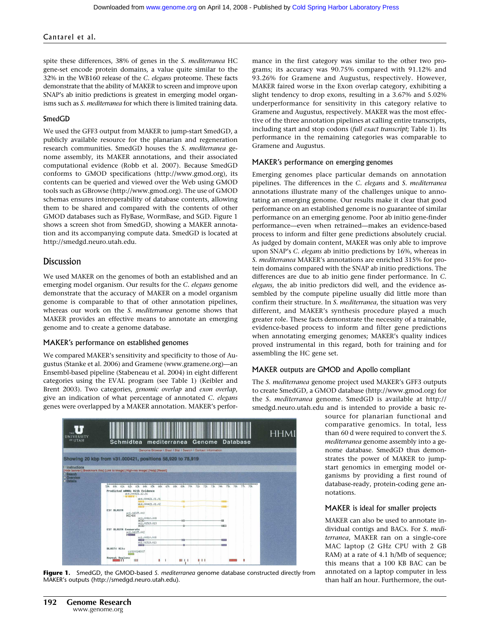spite these differences, 38% of genes in the *S. mediterranea* HC gene-set encode protein domains, a value quite similar to the 32% in the WB160 release of the *C. elegans* proteome. These facts demonstrate that the ability of MAKER to screen and improve upon SNAP's ab initio predictions is greatest in emerging model organisms such as *S. mediterranea* for which there is limited training data.

## SmedGD

We used the GFF3 output from MAKER to jump-start SmedGD, a publicly available resource for the planarian and regeneration research communities. SmedGD houses the *S. mediterranea* genome assembly, its MAKER annotations, and their associated computational evidence (Robb et al. 2007). Because SmedGD conforms to GMOD specifications (http://www.gmod.org), its contents can be queried and viewed over the Web using GMOD tools such as GBrowse (http://www.gmod.org). The use of GMOD schemas ensures interoperability of database contents, allowing them to be shared and compared with the contents of other GMOD databases such as FlyBase, WormBase, and SGD. Figure 1 shows a screen shot from SmedGD, showing a MAKER annotation and its accompanying compute data. SmedGD is located at http://smedgd.neuro.utah.edu.

## **Discussion**

We used MAKER on the genomes of both an established and an emerging model organism. Our results for the *C. elegans* genome demonstrate that the accuracy of MAKER on a model organism genome is comparable to that of other annotation pipelines, whereas our work on the *S. mediterranea* genome shows that MAKER provides an effective means to annotate an emerging genome and to create a genome database.

#### MAKER's performance on established genomes

We compared MAKER's sensitivity and specificity to those of Augustus (Stanke et al. 2006) and Gramene (www.gramene.org)—an Ensembl-based pipeline (Stabeneau et al. 2004) in eight different categories using the EVAL program (see Table 1) (Keibler and Brent 2003). Two categories, *genomic overlap* and *exon overlap*, give an indication of what percentage of annotated *C. elegans* genes were overlapped by a MAKER annotation. MAKER's perfor-



**Figure 1.** SmedGD, the GMOD-based *S. mediterranea* genome database constructed directly from MAKER's outputs (http://smedgd.neuro.utah.edu).

mance in the first category was similar to the other two programs; its accuracy was 90.75% compared with 91.12% and 93.26% for Gramene and Augustus, respectively. However, MAKER faired worse in the Exon overlap category, exhibiting a slight tendency to drop exons, resulting in a 3.67% and 5.02% underperformance for sensitivity in this category relative to Gramene and Augustus, respectively. MAKER was the most effective of the three annotation pipelines at calling entire transcripts, including start and stop codons (*full exact transcript*; Table 1). Its performance in the remaining categories was comparable to Gramene and Augustus.

## MAKER's performance on emerging genomes

Emerging genomes place particular demands on annotation pipelines. The differences in the *C. elegans* and *S. mediterranea* annotations illustrate many of the challenges unique to annotating an emerging genome. Our results make it clear that good performance on an established genome is no guarantee of similar performance on an emerging genome. Poor ab initio gene-finder performance—even when retrained—makes an evidence-based process to inform and filter gene predictions absolutely crucial. As judged by domain content, MAKER was only able to improve upon SNAP's *C. elegans* ab initio predictions by 16%, whereas in *S. mediterranea* MAKER's annotations are enriched 315% for protein domains compared with the SNAP ab initio predictions. The differences are due to ab initio gene finder performance. In *C. elegans,* the ab initio predictors did well, and the evidence assembled by the compute pipeline usually did little more than confirm their structure. In *S. mediterranea*, the situation was very different, and MAKER's synthesis procedure played a much greater role. These facts demonstrate the necessity of a trainable, evidence-based process to inform and filter gene predictions when annotating emerging genomes; MAKER's quality indices proved instrumental in this regard, both for training and for assembling the HC gene set.

#### MAKER outputs are GMOD and Apollo compliant

The *S. mediterranea* genome project used MAKER's GFF3 outputs to create SmedGD, a GMOD database (http://www.gmod.org) for the *S. mediterranea* genome. SmedGD is available at http:// smedgd.neuro.utah.edu and is intended to provide a basic re-

> source for planarian functional and comparative genomics. In total, less than 60 d were required to convert the *S. mediterranea* genome assembly into a genome database. SmedGD thus demonstrates the power of MAKER to jumpstart genomics in emerging model organisms by providing a first round of database-ready, protein-coding gene annotations.

#### MAKER is ideal for smaller projects

MAKER can also be used to annotate individual contigs and BACs. For *S. mediterranea*, MAKER ran on a single-core MAC laptop (2 GHz CPU with 2 GB RAM) at a rate of 4.1 h/Mb of sequence; this means that a 100 KB BAC can be annotated on a laptop computer in less than half an hour. Furthermore, the out-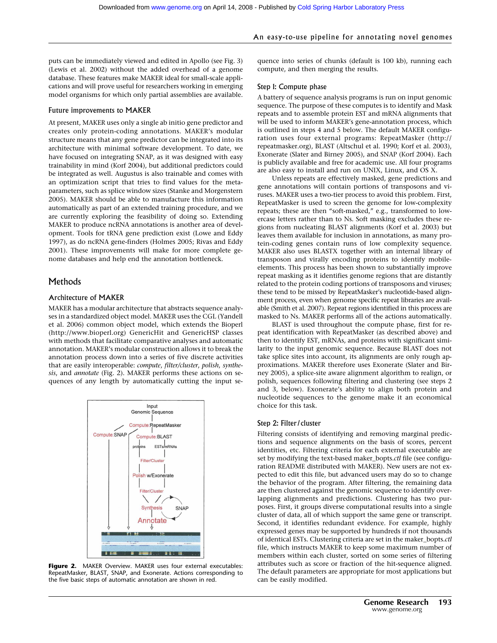puts can be immediately viewed and edited in Apollo (see Fig. 3) (Lewis et al. 2002) without the added overhead of a genome database. These features make MAKER ideal for small-scale applications and will prove useful for researchers working in emerging model organisms for which only partial assemblies are available.

#### Future improvements to MAKER

At present, MAKER uses only a single ab initio gene predictor and creates only protein-coding annotations. MAKER's modular structure means that any gene predictor can be integrated into its architecture with minimal software development. To date, we have focused on integrating SNAP, as it was designed with easy trainability in mind (Korf 2004), but additional predictors could be integrated as well. Augustus is also trainable and comes with an optimization script that tries to find values for the metaparameters, such as splice window sizes (Stanke and Morgenstern 2005). MAKER should be able to manufacture this information automatically as part of an extended training procedure, and we are currently exploring the feasibility of doing so. Extending MAKER to produce ncRNA annotations is another area of development. Tools for tRNA gene prediction exist (Lowe and Eddy 1997), as do ncRNA gene-finders (Holmes 2005; Rivas and Eddy 2001). These improvements will make for more complete genome databases and help end the annotation bottleneck.

## Methods

#### Architecture of MAKER

MAKER has a modular architecture that abstracts sequence analyses in a standardized object model. MAKER uses the CGL (Yandell et al. 2006) common object model, which extends the Bioperl (http://www.bioperl.org) GenericHit and GenericHSP classes with methods that facilitate comparative analyses and automatic annotation. MAKER's modular construction allows it to break the annotation process down into a series of five discrete activities that are easily interoperable: *compute*, *filter/cluster*, *polish*, *synthesis*, and *annotate* (Fig. 2). MAKER performs these actions on sequences of any length by automatically cutting the input se-



**Figure 2.** MAKER Overview. MAKER uses four external executables: RepeatMasker, BLAST, SNAP, and Exonerate. Actions corresponding to the five basic steps of automatic annotation are shown in red.

quence into series of chunks (default is 100 kb), running each compute, and then merging the results.

#### Step 1: Compute phase

A battery of sequence analysis programs is run on input genomic sequence. The purpose of these computes is to identify and Mask repeats and to assemble protein EST and mRNA alignments that will be used to inform MAKER's gene-annotation process, which is outlined in steps 4 and 5 below. The default MAKER configuration uses four external programs: RepeatMasker (http:// repeatmasker.org), BLAST (Altschul et al. 1990; Korf et al. 2003), Exonerate (Slater and Birney 2005), and SNAP (Korf 2004). Each is publicly available and free for academic use. All four programs are also easy to install and run on UNIX, Linux, and OS X.

Unless repeats are effectively masked, gene predictions and gene annotations will contain portions of transposons and viruses. MAKER uses a two-tier process to avoid this problem. First, RepeatMasker is used to screen the genome for low-complexity repeats; these are then "soft-masked," e.g., transformed to lowercase letters rather than to Ns. Soft masking excludes these regions from nucleating BLAST alignments (Korf et al. 2003) but leaves them available for inclusion in annotations, as many protein-coding genes contain runs of low complexity sequence. MAKER also uses BLASTX together with an internal library of transposon and virally encoding proteins to identify mobileelements. This process has been shown to substantially improve repeat masking as it identifies genome regions that are distantly related to the protein coding portions of transposons and viruses; these tend to be missed by RepeatMasker's nucleotide-based alignment process, even when genome specific repeat libraries are available (Smith et al. 2007). Repeat regions identified in this process are masked to Ns. MAKER performs all of the actions automatically.

BLAST is used throughout the compute phase, first for repeat identification with RepeatMasker (as described above) and then to identify EST, mRNAs, and proteins with significant similarity to the input genomic sequence. Because BLAST does not take splice sites into account, its alignments are only rough approximations. MAKER therefore uses Exonerate (Slater and Birney 2005), a splice-site aware alignment algorithm to realign, or polish, sequences following filtering and clustering (see steps 2 and 3, below). Exonerate's ability to align both protein and nucleotide sequences to the genome make it an economical choice for this task.

#### Step 2: Filter/cluster

Filtering consists of identifying and removing marginal predictions and sequence alignments on the basis of scores, percent identities, etc. Filtering criteria for each external executable are set by modifying the text-based maker\_bopts*.ctl* file (see configuration README distributed with MAKER). New users are not expected to edit this file, but advanced users may do so to change the behavior of the program. After filtering, the remaining data are then clustered against the genomic sequence to identify overlapping alignments and predictions. Clustering has two purposes. First, it groups diverse computational results into a single cluster of data, all of which support the same gene or transcript. Second, it identifies redundant evidence. For example, highly expressed genes may be supported by hundreds if not thousands of identical ESTs. Clustering criteria are set in the maker\_bopts*.ctl* file, which instructs MAKER to keep some maximum number of members within each cluster, sorted on some series of filtering attributes such as score or fraction of the hit-sequence aligned. The default parameters are appropriate for most applications but can be easily modified.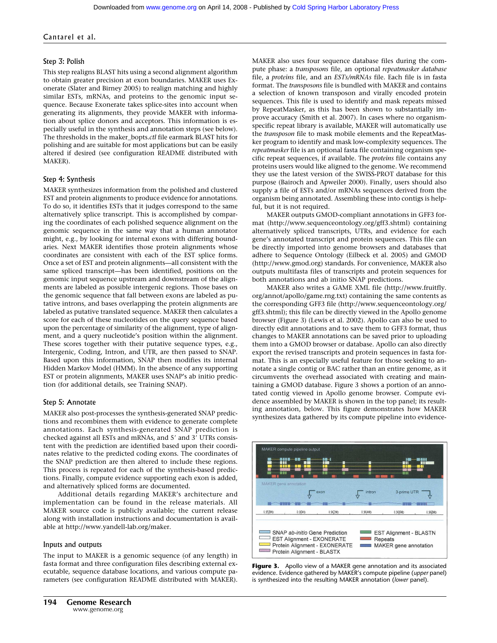#### Step 3: Polish

This step realigns BLAST hits using a second alignment algorithm to obtain greater precision at exon boundaries. MAKER uses Exonerate (Slater and Birney 2005) to realign matching and highly similar ESTs, mRNAs, and proteins to the genomic input sequence. Because Exonerate takes splice-sites into account when generating its alignments, they provide MAKER with information about splice donors and acceptors. This information is especially useful in the synthesis and annotation steps (see below). The thresholds in the maker\_bopts*.ctl* file earmark BLAST hits for polishing and are suitable for most applications but can be easily altered if desired (see configuration README distributed with MAKER).

#### Step 4: Synthesis

MAKER synthesizes information from the polished and clustered EST and protein alignments to produce evidence for annotations. To do so, it identifies ESTs that it judges correspond to the same alternatively splice transcript. This is accomplished by comparing the coordinates of each polished sequence alignment on the genomic sequence in the same way that a human annotator might, e.g., by looking for internal exons with differing boundaries. Next MAKER identifies those protein alignments whose coordinates are consistent with each of the EST splice forms. Once a set of EST and protein alignments—all consistent with the same spliced transcript—has been identified, positions on the genomic input sequence upstream and downstream of the alignments are labeled as possible intergenic regions. Those bases on the genomic sequence that fall between exons are labeled as putative introns, and bases overlapping the protein alignments are labeled as putative translated sequence. MAKER then calculates a score for each of these nucleotides on the query sequence based upon the percentage of similarity of the alignment, type of alignment, and a query nucleotide's position within the alignment. These scores together with their putative sequence types, e.g., Intergenic, Coding, Intron, and UTR, are then passed to SNAP. Based upon this information, SNAP then modifies its internal Hidden Markov Model (HMM). In the absence of any supporting EST or protein alignments, MAKER uses SNAP's ab initio prediction (for additional details, see Training SNAP).

#### Step 5: Annotate

MAKER also post-processes the synthesis-generated SNAP predictions and recombines them with evidence to generate complete annotations. Each synthesis-generated SNAP prediction is checked against all ESTs and mRNAs, and 5' and 3' UTRs consistent with the prediction are identified based upon their coordinates relative to the predicted coding exons. The coordinates of the SNAP prediction are then altered to include these regions. This process is repeated for each of the synthesis-based predictions. Finally, compute evidence supporting each exon is added, and alternatively spliced forms are documented.

Additional details regarding MAKER's architecture and implementation can be found in the release materials. All MAKER source code is publicly available; the current release along with installation instructions and documentation is available at http://www.yandell-lab.org/maker.

#### Inputs and outputs

The input to MAKER is a genomic sequence (of any length) in fasta format and three configuration files describing external executable, sequence database locations, and various compute parameters (see configuration README distributed with MAKER). MAKER also uses four sequence database files during the compute phase: a *transposons* file, an optional *repeatmasker database* file, a *proteins* file, and an *ESTs/mRNAs* file. Each file is in fasta format. The *transposons* file is bundled with MAKER and contains a selection of known transposon and virally encoded protein sequences. This file is used to identify and mask repeats missed by RepeatMasker, as this has been shown to substantially improve accuracy (Smith et al. 2007). In cases where no organismspecific repeat library is available, MAKER will automatically use the *transposon* file to mask mobile elements and the RepeatMasker program to identify and mask low-complexity sequences. The *repeatmasker* file is an optional fasta file containing organism specific repeat sequences, if available. The *proteins* file contains any proteins users would like aligned to the genome. We recommend they use the latest version of the SWISS-PROT database for this purpose (Bairoch and Apweiler 2000). Finally, users should also supply a file of ESTs and/or mRNAs sequences derived from the organism being annotated. Assembling these into contigs is helpful, but it is not required.

MAKER outputs GMOD-compliant annotations in GFF3 format (http://www.sequenceontology.org/gff3.shtml) containing alternatively spliced transcripts, UTRs, and evidence for each gene's annotated transcript and protein sequences. This file can be directly imported into genome browsers and databases that adhere to Sequence Ontology (Eilbeck et al. 2005) and GMOD (http://www.gmod.org) standards. For convenience, MAKER also outputs multifasta files of transcripts and protein sequences for both annotations and ab initio SNAP predictions.

MAKER also writes a GAME XML file (http://www.fruitfly. org/annot/apollo/game.rng.txt) containing the same contents as the corresponding GFF3 file (http://www.sequenceontology.org/ gff3.shtml); this file can be directly viewed in the Apollo genome browser (Figure 3) (Lewis et al. 2002). Apollo can also be used to directly edit annotations and to save them to GFF3 format, thus changes to MAKER annotations can be saved prior to uploading them into a GMOD browser or database. Apollo can also directly export the revised transcripts and protein sequences in fasta format. This is an especially useful feature for those seeking to annotate a single contig or BAC rather than an entire genome, as it circumvents the overhead associated with creating and maintaining a GMOD database. Figure 3 shows a portion of an annotated contig viewed in Apollo genome browser. Compute evidence assembled by MAKER is shown in the top panel; its resulting annotation, below. This figure demonstrates how MAKER synthesizes data gathered by its compute pipeline into evidence-



**Figure 3.** Apollo view of a MAKER gene annotation and its associated evidence. Evidence gathered by MAKER's compute pipeline (*upper* panel) is synthesized into the resulting MAKER annotation (*lower* panel).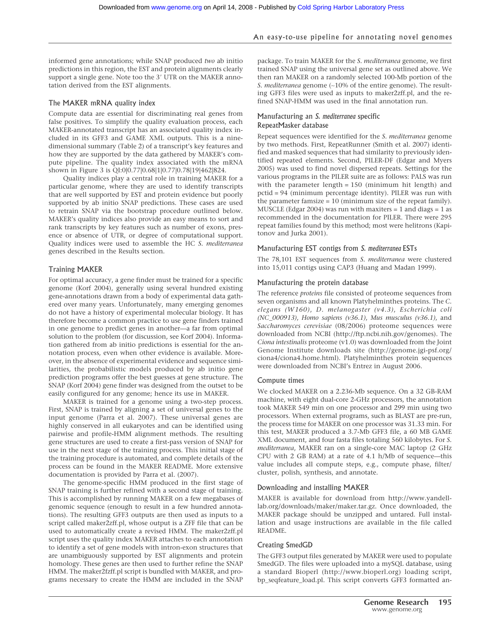informed gene annotations; while SNAP produced *two* ab initio predictions in this region, the EST and protein alignments clearly support a single gene. Note too the 3' UTR on the MAKER annotation derived from the EST alignments.

#### The MAKER mRNA quality index

Compute data are essential for discriminating real genes from false positives. To simplify the quality evaluation process, each MAKER-annotated transcript has an associated quality index included in its GFF3 and GAME XML outputs. This is a ninedimensional summary (Table 2) of a transcript's key features and how they are supported by the data gathered by MAKER's compute pipeline. The quality index associated with the mRNA shown in Figure 3 is QI:0|0.77|0.68|1|0.77|0.78|19|462|824.

Quality indices play a central role in training MAKER for a particular genome, where they are used to identify transcripts that are well supported by EST and protein evidence but poorly supported by ab initio SNAP predictions. These cases are used to retrain SNAP via the bootstrap procedure outlined below. MAKER's quality indices also provide an easy means to sort and rank transcripts by key features such as number of exons, presence or absence of UTR, or degree of computational support. Quality indices were used to assemble the HC *S. mediterranea* genes described in the Results section.

#### Training MAKER

For optimal accuracy, a gene finder must be trained for a specific genome (Korf 2004), generally using several hundred existing gene-annotations drawn from a body of experimental data gathered over many years. Unfortunately, many emerging genomes do not have a history of experimental molecular biology. It has therefore become a common practice to use gene finders trained in one genome to predict genes in another—a far from optimal solution to the problem (for discussion, see Korf 2004). Information gathered from ab initio predictions is essential for the annotation process, even when other evidence is available. Moreover, in the absence of experimental evidence and sequence similarities, the probabilistic models produced by ab initio gene prediction programs offer the best guesses at gene structure. The SNAP (Korf 2004) gene finder was designed from the outset to be easily configured for any genome; hence its use in MAKER.

MAKER is trained for a genome using a two-step process. First, SNAP is trained by aligning a set of universal genes to the input genome (Parra et al. 2007). These universal genes are highly conserved in all eukaryotes and can be identified using pairwise and profile-HMM alignment methods. The resulting gene structures are used to create a first-pass version of SNAP for use in the next stage of the training process. This initial stage of the training procedure is automated, and complete details of the process can be found in the MAKER README. More extensive documentation is provided by Parra et al. (2007).

The genome-specific HMM produced in the first stage of SNAP training is further refined with a second stage of training. This is accomplished by running MAKER on a few megabases of genomic sequence (enough to result in a few hundred annotations). The resulting GFF3 outputs are then used as inputs to a script called maker2zff.pl, whose output is a ZFF file that can be used to automatically create a revised HMM. The maker2zff.pl script uses the quality index MAKER attaches to each annotation to identify a set of gene models with intron-exon structures that are unambiguously supported by EST alignments and protein homology. These genes are then used to further refine the SNAP HMM. The maker2fzff.pl script is bundled with MAKER, and programs necessary to create the HMM are included in the SNAP

package. To train MAKER for the *S. mediterranea* genome, we first trained SNAP using the universal gene set as outlined above. We then ran MAKER on a randomly selected 100-Mb portion of the *S. mediterranea* genome (∼10% of the entire genome). The resulting GFF3 files were used as inputs to maker2zff.pl, and the refined SNAP-HMM was used in the final annotation run.

#### Manufacturing an *S. mediterranea* specific RepeatMasker database

Repeat sequences were identified for the *S. mediterranea* genome by two methods. First, RepeatRunner (Smith et al. 2007) identified and masked sequences that had similarity to previously identified repeated elements. Second, PILER-DF (Edgar and Myers 2005) was used to find novel dispersed repeats. Settings for the various programs in the PILER suite are as follows: PALS was run with the parameter length = 150 (minimum hit length) and pctid = 94 (minimum percentage identity). PILER was run with the parameter famsize = 10 (minimum size of the repeat family). MUSCLE (Edgar 2004) was run with maxiters  $= 1$  and diags  $= 1$  as recommended in the documentation for PILER. There were 295 repeat families found by this method; most were helitrons (Kapitonov and Jurka 2001).

#### Manufacturing EST contigs from *S. mediterranea* ESTs

The 78,101 EST sequences from *S. mediterranea* were clustered into 15,011 contigs using CAP3 (Huang and Madan 1999).

#### Manufacturing the protein database

The reference *proteins* file consisted of proteome sequences from seven organisms and all known Platyhelminthes proteins. The *C. elegans (W160)*, *D. melanogaster (v4.3)*, *Escherichia coli (NC\_000913)*, *Homo sapiens (v36.1)*, *Mus musculus (v36.1)*, and *Saccharomyces cerevisiae* (08/2006) proteome sequences were downloaded from NCBI (http://ftp.ncbi.nih.gov/genomes). The *Ciona intestinalis* proteome (v1.0) was downloaded from the Joint Genome Institute downloads site (http://genome.jgi-psf.org/ ciona4/ciona4.home.html). Platyhelminthes protein sequences were downloaded from NCBI's Entrez in August 2006.

#### Compute times

We clocked MAKER on a 2.236-Mb sequence. On a 32 GB-RAM machine, with eight dual-core 2-GHz processors, the annotation took MAKER 549 min on one processor and 299 min using two processors. When external programs, such as BLAST are pre-run, the process time for MAKER on one processor was 31.33 min. For this test, MAKER produced a 3.7-Mb GFF3 file, a 60 MB GAME XML document, and four fasta files totaling 560 kilobytes. For *S. mediterranea*, MAKER ran on a single-core MAC laptop (2 GHz CPU with 2 GB RAM) at a rate of 4.1 h/Mb of sequence—this value includes all compute steps, e.g., compute phase, filter/ cluster, polish, synthesis, and annotate.

#### Downloading and installing MAKER

MAKER is available for download from http://www.yandelllab.org/downloads/maker/maker.tar.gz. Once downloaded, the MAKER package should be unzipped and untared. Full installation and usage instructions are available in the file called README.

#### Creating SmedGD

The GFF3 output files generated by MAKER were used to populate SmedGD. The files were uploaded into a mySQL database, using a standard Bioperl (http://www.bioperl.org) loading script, bp\_seqfeature\_load.pl. This script converts GFF3 formatted an-